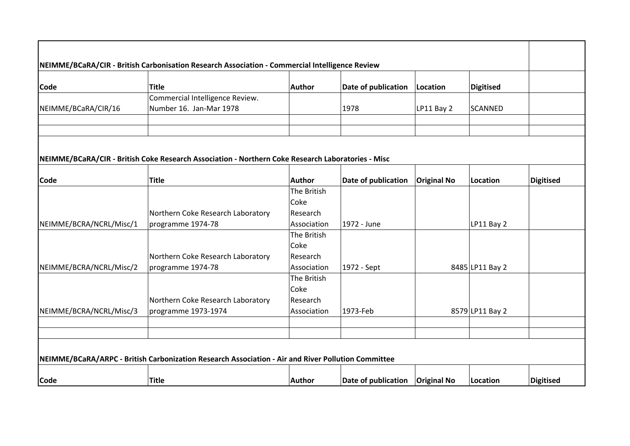| Code                    | <b>Title</b>                                                                                      | Author      | Date of publication | Location           | Digitised       |                  |
|-------------------------|---------------------------------------------------------------------------------------------------|-------------|---------------------|--------------------|-----------------|------------------|
|                         | Commercial Intelligence Review.                                                                   |             |                     |                    |                 |                  |
| NEIMME/BCaRA/CIR/16     | Number 16. Jan-Mar 1978                                                                           |             | 1978                | LP11 Bay 2         | SCANNED         |                  |
|                         |                                                                                                   |             |                     |                    |                 |                  |
|                         |                                                                                                   |             |                     |                    |                 |                  |
|                         |                                                                                                   |             |                     |                    |                 |                  |
|                         | NEIMME/BCaRA/CIR - British Coke Research Association - Northern Coke Research Laboratories - Misc |             |                     |                    |                 |                  |
|                         |                                                                                                   |             |                     |                    |                 |                  |
| <b>Code</b>             | <b>Title</b>                                                                                      | Author      | Date of publication | <b>Original No</b> | Location        | <b>Digitised</b> |
|                         |                                                                                                   | The British |                     |                    |                 |                  |
|                         |                                                                                                   | Coke        |                     |                    |                 |                  |
|                         | Northern Coke Research Laboratory                                                                 | Research    |                     |                    |                 |                  |
| NEIMME/BCRA/NCRL/Misc/1 | programme 1974-78                                                                                 | Association | 1972 - June         |                    | LP11 Bay 2      |                  |
|                         |                                                                                                   | The British |                     |                    |                 |                  |
|                         |                                                                                                   | Coke        |                     |                    |                 |                  |
|                         | Northern Coke Research Laboratory                                                                 | Research    |                     |                    |                 |                  |
| NEIMME/BCRA/NCRL/Misc/2 | programme 1974-78                                                                                 | Association | 1972 - Sept         |                    | 8485 LP11 Bay 2 |                  |
|                         |                                                                                                   | The British |                     |                    |                 |                  |
|                         |                                                                                                   | Coke        |                     |                    |                 |                  |
|                         | Northern Coke Research Laboratory                                                                 | Research    |                     |                    |                 |                  |
| NEIMME/BCRA/NCRL/Misc/3 | programme 1973-1974                                                                               | Association | 1973-Feb            |                    | 8579 LP11 Bay 2 |                  |
|                         |                                                                                                   |             |                     |                    |                 |                  |
|                         |                                                                                                   |             |                     |                    |                 |                  |
|                         |                                                                                                   |             |                     |                    |                 |                  |